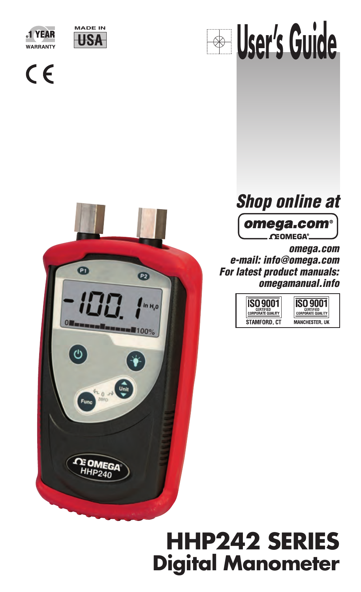



 $C \in$ 







**omega.com e-mail: info@omega.com For latest product manuals: omegamanual.info**



# **HHP242 SERIES Digital Manometer**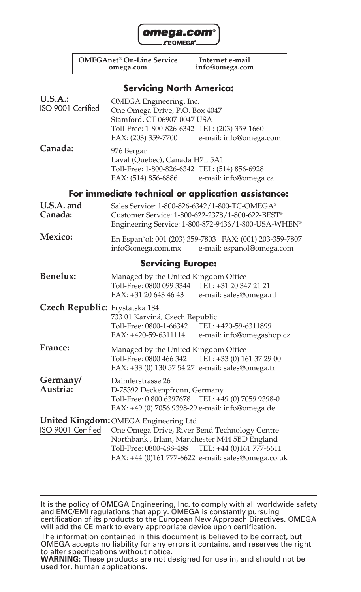

**OMEGAnet**® **On-Line Service Internet e-mail**

**omega.com info@omega.com**

#### **Servicing North America:**

| <b>U.S.A.:</b><br>ISO 9001 Certified | OMEGA Engineering, Inc.<br>One Omega Drive, P.O. Box 4047<br>Stamford, CT 06907-0047 USA<br>Toll-Free: 1-800-826-6342 TEL: (203) 359-1660<br>FAX: (203) 359-7700                            | e-mail: info@omega.com                                                                                  |
|--------------------------------------|---------------------------------------------------------------------------------------------------------------------------------------------------------------------------------------------|---------------------------------------------------------------------------------------------------------|
| Canada:                              | 976 Bergar<br>Laval (Quebec), Canada H7L 5A1<br>Toll-Free: 1-800-826-6342 TEL: (514) 856-6928<br>FAX: (514) 856-6886                                                                        | e-mail: info@omega.ca                                                                                   |
|                                      |                                                                                                                                                                                             | For immediate technical or application assistance:                                                      |
| U.S.A. and<br>Canada:                | Sales Service: 1-800-826-6342/1-800-TC-OMEGA®                                                                                                                                               | Customer Service: 1-800-622-2378/1-800-622-BEST®<br>Engineering Service: 1-800-872-9436/1-800-USA-WHEN® |
| Mexico:                              |                                                                                                                                                                                             | En Espan~ol: 001 (203) 359-7803 FAX: (001) 203-359-7807<br>info@omega.com.mx e-mail: espanol@omega.com  |
|                                      | <b>Servicing Europe:</b>                                                                                                                                                                    |                                                                                                         |
| Benelux:                             | Managed by the United Kingdom Office<br>Toll-Free: 0800 099 3344 TEL: +31 20 347 21 21<br>FAX: +31 20 643 46 43                                                                             | e-mail: sales@omega.nl                                                                                  |
| Czech Republic: Frystatska 184       | 733 01 Karviná, Czech Republic<br>Toll-Free: 0800-1-66342 TEL: +420-59-6311899<br>FAX: +420-59-6311114                                                                                      | e-mail: info@omegashop.cz                                                                               |
| France:                              | Managed by the United Kingdom Office<br>Toll-Free: 0800 466 342 TEL: +33 (0) 161 37 29 00<br>FAX: +33 (0) 130 57 54 27 e-mail: sales@omega.fr                                               |                                                                                                         |
| Germany/<br>Austria:                 | Daimlerstrasse 26<br>D-75392 Deckenpfronn, Germany<br>Toll-Free: 0 800 6397678 TEL: +49 (0) 7059 9398-0<br>FAX: +49 (0) 7056 9398-29 e-mail: info@omega.de                                  |                                                                                                         |
| ISO 9001 Certified                   | United Kingdom: OMEGA Engineering Ltd.<br>One Omega Drive, River Bend Technology Centre<br>Northbank, Irlam, Manchester M44 5BD England<br>Toll-Free: 0800-488-488 TEL: +44 (0)161 777-6611 | FAX: +44 (0)161 777-6622 e-mail: sales@omega.co.uk                                                      |

It is the policy of OMEGA Engineering, Inc. to comply with all worldwide safety and EMC/EMI regulations that apply. OMEGA is constantly pursuing certification of its products to the European New Approach Directives. OMEGA will add the CE mark to every appropriate device upon certification.

The information contained in this document is believed to be correct, but OMEGA accepts no liability for any errors it contains, and reserves the right to alter specifications without notice.

**WARNING:** These products are not designed for use in, and should not be used for, human applications.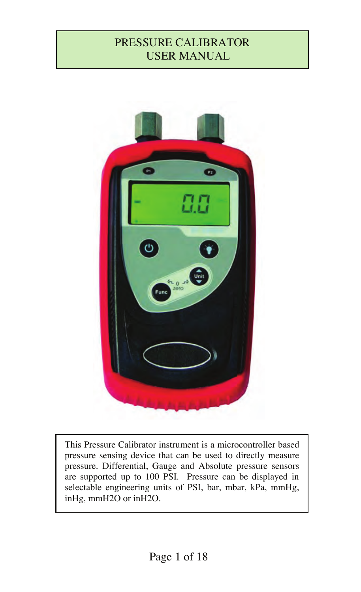# PRESSURE CALIBRATOR USER MANUAL

I



This Pressure Calibrator instrument is a microcontroller based pressure sensing device that can be used to directly measure pressure. Differential, Gauge and Absolute pressure sensors are supported up to 100 PSI. Pressure can be displayed in selectable engineering units of PSI, bar, mbar, kPa, mmHg, inHg, mmH2O or inH2O.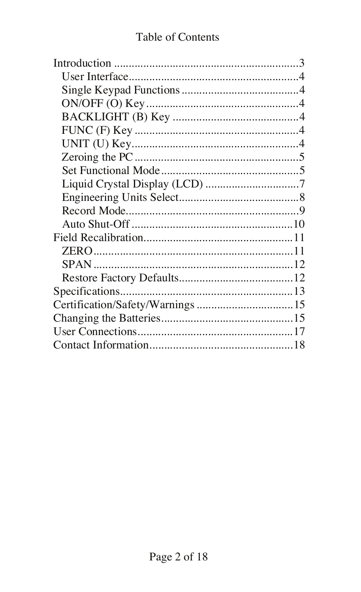# Table of Contents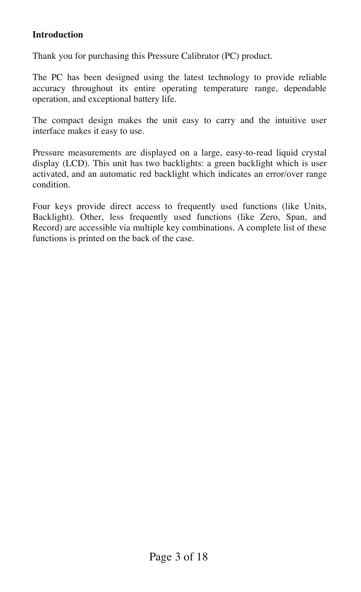#### **Introduction**

Thank you for purchasing this Pressure Calibrator (PC) product.

The PC has been designed using the latest technology to provide reliable accuracy throughout its entire operating temperature range, dependable operation, and exceptional battery life.

The compact design makes the unit easy to carry and the intuitive user interface makes it easy to use.

Pressure measurements are displayed on a large, easy-to-read liquid crystal display (LCD). This unit has two backlights: a green backlight which is user activated, and an automatic red backlight which indicates an error/over range condition.

Four keys provide direct access to frequently used functions (like Units, Backlight). Other, less frequently used functions (like Zero, Span, and Record) are accessible via multiple key combinations. A complete list of these functions is printed on the back of the case.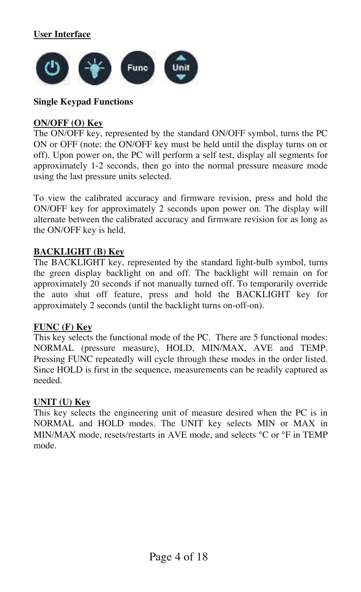**User Interface**



#### **Single Keypad Functions**

#### **ON/OFF (O) Key**

The ON/OFF key, represented by the standard ON/OFF symbol, turns the PC ON or OFF (note: the ON/OFF key must be held until the display turns on or off). Upon power on, the PC will perform a self test, display all segments for approximately 1-2 seconds, then go into the normal pressure measure mode using the last pressure units selected.

To view the calibrated accuracy and firmware revision, press and hold the ON/OFF key for approximately 2 seconds upon power on. The display will alternate between the calibrated accuracy and firmware revision for as long as the ON/OFF key is held.

#### **BACKLIGHT (B) Key**

The BACKLIGHT key, represented by the standard light-bulb symbol, turns the green display backlight on and off. The backlight will remain on for approximately 20 seconds if not manually turned off. To temporarily override the auto shut off feature, press and hold the BACKLIGHT key for approximately 2 seconds (until the backlight turns on-off-on).

#### **FUNC (F) Key**

This key selects the functional mode of the PC. There are 5 functional modes: NORMAL (pressure measure), HOLD, MIN/MAX, AVE and TEMP. Pressing FUNC repeatedly will cycle through these modes in the order listed. Since HOLD is first in the sequence, measurements can be readily captured as needed.

#### **UNIT (U) Key**

This key selects the engineering unit of measure desired when the PC is in NORMAL and HOLD modes. The UNIT key selects MIN or MAX in MIN/MAX mode, resets/restarts in AVE mode, and selects °C or °F in TEMP mode.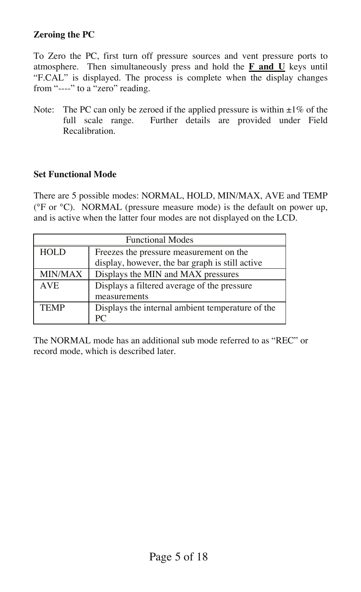#### **Zeroing the PC**

To Zero the PC, first turn off pressure sources and vent pressure ports to atmosphere. Then simultaneously press and hold the **F and U** keys until "F.CAL" is displayed. The process is complete when the display changes from "----" to a "zero" reading.

Note: The PC can only be zeroed if the applied pressure is within  $\pm 1\%$  of the full scale range. Further details are provided under Field Recalibration.

#### **Set Functional Mode**

There are 5 possible modes: NORMAL, HOLD, MIN/MAX, AVE and TEMP (°F or °C). NORMAL (pressure measure mode) is the default on power up, and is active when the latter four modes are not displayed on the LCD.

| <b>Functional Modes</b> |                                                  |  |
|-------------------------|--------------------------------------------------|--|
| <b>HOLD</b>             | Freezes the pressure measurement on the          |  |
|                         | display, however, the bar graph is still active  |  |
| MIN/MAX                 | Displays the MIN and MAX pressures               |  |
| <b>AVE</b>              | Displays a filtered average of the pressure      |  |
|                         | measurements                                     |  |
| <b>TEMP</b>             | Displays the internal ambient temperature of the |  |
|                         | PС                                               |  |

The NORMAL mode has an additional sub mode referred to as "REC" or record mode, which is described later.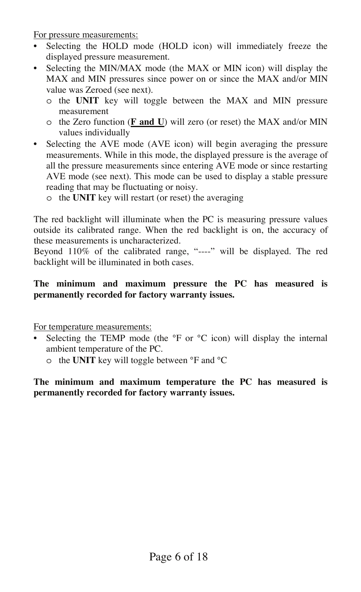For pressure measurements:

- Selecting the HOLD mode (HOLD icon) will immediately freeze the displayed pressure measurement.
- Selecting the MIN/MAX mode (the MAX or MIN icon) will display the MAX and MIN pressures since power on or since the MAX and/or MIN value was Zeroed (see next).
	- o the **UNIT** key will toggle between the MAX and MIN pressure measurement
	- o the Zero function (**F and U**) will zero (or reset) the MAX and/or MIN values individually
- Selecting the AVE mode (AVE icon) will begin averaging the pressure measurements. While in this mode, the displayed pressure is the average of all the pressure measurements since entering AVE mode or since restarting AVE mode (see next). This mode can be used to display a stable pressure reading that may be fluctuating or noisy.
	- o the **UNIT** key will restart (or reset) the averaging

The red backlight will illuminate when the PC is measuring pressure values outside its calibrated range. When the red backlight is on, the accuracy of these measurements is uncharacterized.

Beyond 110% of the calibrated range, "----" will be displayed. The red backlight will be illuminated in both cases.

#### **The minimum and maximum pressure the PC has measured is permanently recorded for factory warranty issues.**

For temperature measurements:

- Selecting the TEMP mode (the °F or °C icon) will display the internal ambient temperature of the PC.
	- o the **UNIT** key will toggle between °F and °C

#### **The minimum and maximum temperature the PC has measured is permanently recorded for factory warranty issues.**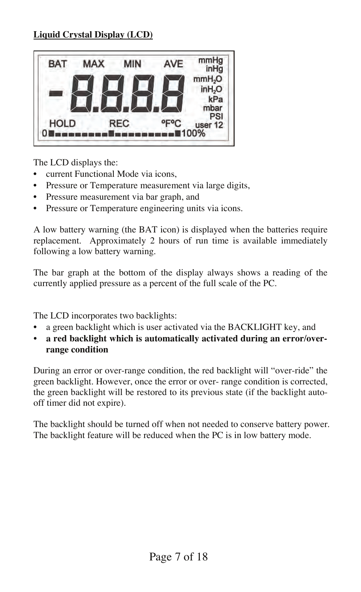#### **Liquid Crystal Display (LCD)**



The LCD displays the:

- current Functional Mode via icons,
- Pressure or Temperature measurement via large digits,
- Pressure measurement via bar graph, and
- Pressure or Temperature engineering units via icons.

A low battery warning (the BAT icon) is displayed when the batteries require replacement. Approximately 2 hours of run time is available immediately following a low battery warning.

The bar graph at the bottom of the display always shows a reading of the currently applied pressure as a percent of the full scale of the PC.

The LCD incorporates two backlights:

- a green backlight which is user activated via the BACKLIGHT key, and
- **a red backlight which is automatically activated during an error/overrange condition**

During an error or over-range condition, the red backlight will "over-ride" the green backlight. However, once the error or over- range condition is corrected, the green backlight will be restored to its previous state (if the backlight autooff timer did not expire).

The backlight should be turned off when not needed to conserve battery power. The backlight feature will be reduced when the PC is in low battery mode.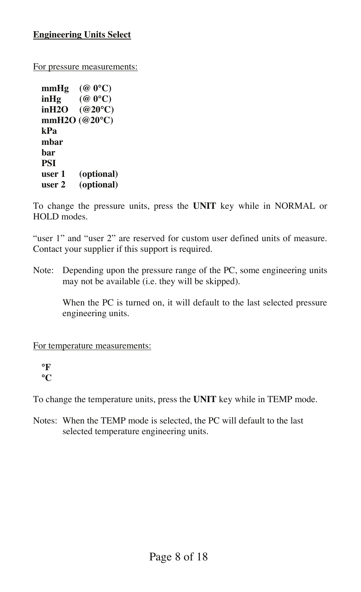For pressure measurements:

**mmHg (@ 0°C) inHg (@ 0°C) inH2O (@20°C) mmH2O (@20°C) kPa mbar bar PSI user 1 (optional) user 2 (optional)** 

To change the pressure units, press the **UNIT** key while in NORMAL or HOLD modes.

"user 1" and "user 2" are reserved for custom user defined units of measure. Contact your supplier if this support is required.

Note: Depending upon the pressure range of the PC, some engineering units may not be available (i.e. they will be skipped).

When the PC is turned on, it will default to the last selected pressure engineering units.

For temperature measurements:

**°F °C**

To change the temperature units, press the **UNIT** key while in TEMP mode.

Notes: When the TEMP mode is selected, the PC will default to the last selected temperature engineering units.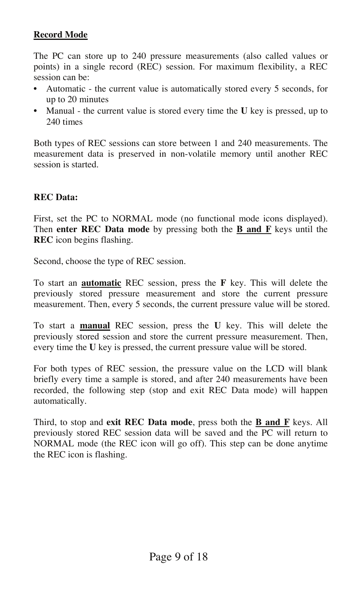#### **Record Mode**

The PC can store up to 240 pressure measurements (also called values or points) in a single record (REC) session. For maximum flexibility, a REC session can be:

- Automatic the current value is automatically stored every 5 seconds, for up to 20 minutes
- Manual the current value is stored every time the **U** key is pressed, up to 240 times

Both types of REC sessions can store between 1 and 240 measurements. The measurement data is preserved in non-volatile memory until another REC session is started.

#### **REC Data:**

First, set the PC to NORMAL mode (no functional mode icons displayed). Then **enter REC Data mode** by pressing both the **B and F** keys until the **REC** icon begins flashing.

Second, choose the type of REC session.

To start an **automatic** REC session, press the **F** key. This will delete the previously stored pressure measurement and store the current pressure measurement. Then, every 5 seconds, the current pressure value will be stored.

To start a **manual** REC session, press the **U** key. This will delete the previously stored session and store the current pressure measurement. Then, every time the **U** key is pressed, the current pressure value will be stored.

For both types of REC session, the pressure value on the LCD will blank briefly every time a sample is stored, and after 240 measurements have been recorded, the following step (stop and exit REC Data mode) will happen automatically.

Third, to stop and **exit REC Data mode**, press both the **B and F** keys. All previously stored REC session data will be saved and the PC will return to NORMAL mode (the REC icon will go off). This step can be done anytime the REC icon is flashing.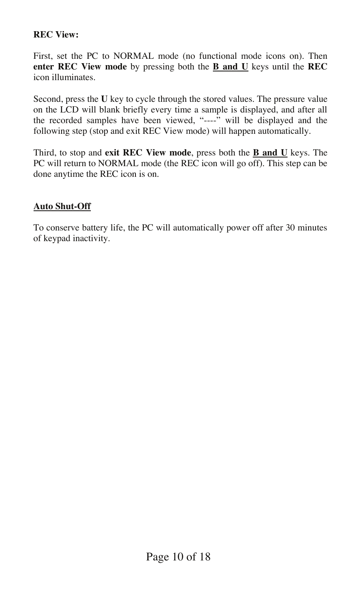#### **REC View:**

First, set the PC to NORMAL mode (no functional mode icons on). Then **enter REC View mode** by pressing both the **B and U** keys until the **REC** icon illuminates.

Second, press the **U** key to cycle through the stored values. The pressure value on the LCD will blank briefly every time a sample is displayed, and after all the recorded samples have been viewed, "----" will be displayed and the following step (stop and exit REC View mode) will happen automatically.

Third, to stop and **exit REC View mode**, press both the **B and U** keys. The PC will return to NORMAL mode (the REC icon will go off). This step can be done anytime the REC icon is on.

#### **Auto Shut-Off**

To conserve battery life, the PC will automatically power off after 30 minutes of keypad inactivity.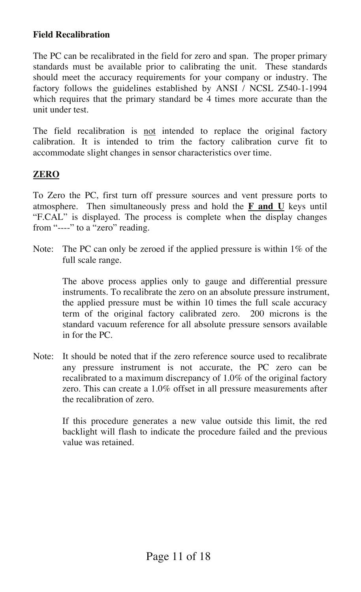#### **Field Recalibration**

The PC can be recalibrated in the field for zero and span. The proper primary standards must be available prior to calibrating the unit. These standards should meet the accuracy requirements for your company or industry. The factory follows the guidelines established by ANSI / NCSL Z540-1-1994 which requires that the primary standard be 4 times more accurate than the unit under test.

The field recalibration is not intended to replace the original factory calibration. It is intended to trim the factory calibration curve fit to accommodate slight changes in sensor characteristics over time.

#### **ZERO**

To Zero the PC, first turn off pressure sources and vent pressure ports to atmosphere. Then simultaneously press and hold the **F and U** keys until "F.CAL" is displayed. The process is complete when the display changes from "----" to a "zero" reading.

Note: The PC can only be zeroed if the applied pressure is within 1% of the full scale range.

The above process applies only to gauge and differential pressure instruments. To recalibrate the zero on an absolute pressure instrument, the applied pressure must be within 10 times the full scale accuracy term of the original factory calibrated zero. 200 microns is the standard vacuum reference for all absolute pressure sensors available in for the PC.

Note: It should be noted that if the zero reference source used to recalibrate any pressure instrument is not accurate, the PC zero can be recalibrated to a maximum discrepancy of 1.0% of the original factory zero. This can create a 1.0% offset in all pressure measurements after the recalibration of zero.

> If this procedure generates a new value outside this limit, the red backlight will flash to indicate the procedure failed and the previous value was retained.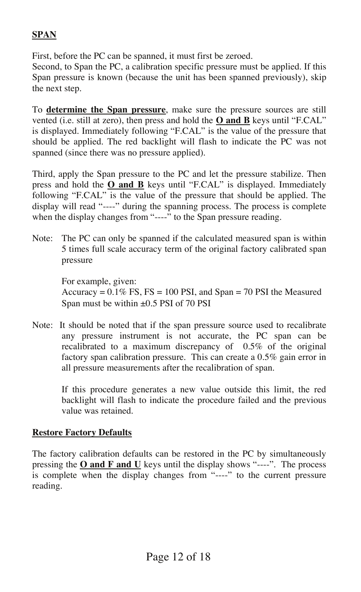#### **SPAN**

First, before the PC can be spanned, it must first be zeroed.

Second, to Span the PC, a calibration specific pressure must be applied. If this Span pressure is known (because the unit has been spanned previously), skip the next step.

To **determine the Span pressure**, make sure the pressure sources are still vented (i.e. still at zero), then press and hold the **O and B** keys until "F.CAL" is displayed. Immediately following "F.CAL" is the value of the pressure that should be applied. The red backlight will flash to indicate the PC was not spanned (since there was no pressure applied).

Third, apply the Span pressure to the PC and let the pressure stabilize. Then press and hold the **O and B** keys until "F.CAL" is displayed. Immediately following "F.CAL" is the value of the pressure that should be applied. The display will read "----" during the spanning process. The process is complete when the display changes from "----" to the Span pressure reading.

Note: The PC can only be spanned if the calculated measured span is within 5 times full scale accuracy term of the original factory calibrated span pressure

For example, given: Accuracy  $= 0.1\%$  FS, FS  $= 100$  PSI, and Span  $= 70$  PSI the Measured Span must be within  $\pm 0.5$  PSI of 70 PSI

Note: It should be noted that if the span pressure source used to recalibrate any pressure instrument is not accurate, the PC span can be recalibrated to a maximum discrepancy of 0.5% of the original factory span calibration pressure. This can create a 0.5% gain error in all pressure measurements after the recalibration of span.

If this procedure generates a new value outside this limit, the red backlight will flash to indicate the procedure failed and the previous value was retained.

#### **Restore Factory Defaults**

The factory calibration defaults can be restored in the PC by simultaneously pressing the  $O$  and  $F$  and  $U$  keys until the display shows "----". The process is complete when the display changes from "----" to the current pressure reading.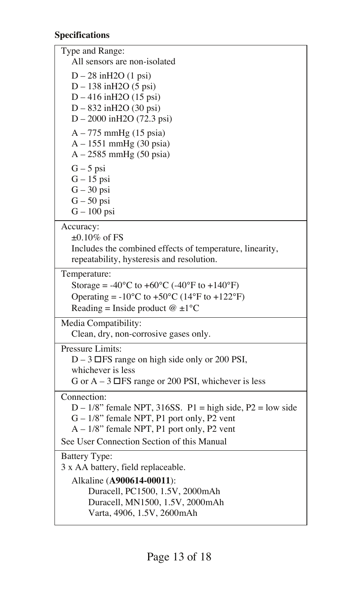#### **Specifications**

Type and Range: All sensors are non-isolated D – 28 inH2O (1 psi) D – 138 inH2O (5 psi) D – 416 inH2O (15 psi) D – 832 inH2O (30 psi) D – 2000 inH2O (72.3 psi) A – 775 mmHg (15 psia) A – 1551 mmHg (30 psia) A – 2585 mmHg (50 psia)  $G - 5$  psi G – 15 psi  $G - 30$  psi  $G - 50$  psi  $G - 100$  psi Accuracy:  $+0.10\%$  of FS Includes the combined effects of temperature, linearity, repeatability, hysteresis and resolution. Temperature: Storage =  $-40^{\circ}$ C to  $+60^{\circ}$ C ( $-40^{\circ}$ F to  $+140^{\circ}$ F) Operating =  $-10^{\circ}$ C to  $+50^{\circ}$ C (14 $^{\circ}$ F to  $+122^{\circ}$ F) Reading = Inside product  $@ \pm 1°C$ Media Compatibility: Clean, dry, non-corrosive gases only. Pressure Limits:  $D - 3 \times FS$  range on high side only or 200 PSI, whichever is less G or  $A - 3 \times FS$  range or 200 PSI, whichever is less Connection:  $D - 1/8$ " female NPT, 316SS. P1 = high side, P2 = low side G – 1/8" female NPT, P1 port only, P2 vent A – 1/8" female NPT, P1 port only, P2 vent See User Connection Section of this Manual Battery Type: 3 x AA battery, field replaceable. Alkaline (**A900614-00011**): Duracell, PC1500, 1.5V, 2000mAh Duracell, MN1500, 1.5V, 2000mAh Varta, 4906, 1.5V, 2600mAh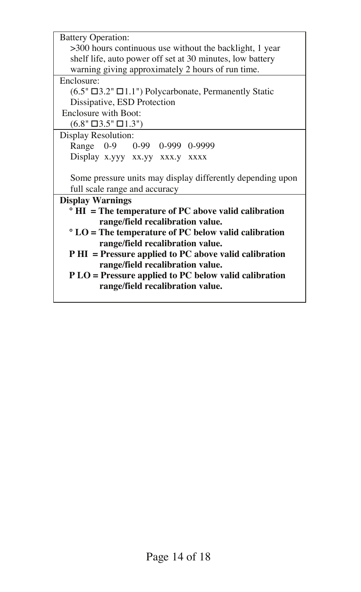| <b>Battery Operation:</b>                                          |  |  |
|--------------------------------------------------------------------|--|--|
| >300 hours continuous use without the backlight, 1 year            |  |  |
| shelf life, auto power off set at 30 minutes, low battery          |  |  |
| warning giving approximately 2 hours of run time.                  |  |  |
| Enclosure:                                                         |  |  |
| $(6.5" \times 3.2" \times 1.1")$ Polycarbonate, Permanently Static |  |  |
| Dissipative, ESD Protection                                        |  |  |
| Enclosure with Boot:                                               |  |  |
| $(6.8" \times 3.5" \times 1.3")$                                   |  |  |
| Display Resolution:                                                |  |  |
| Range 0-9 0-99 0-999 0-9999                                        |  |  |
| Display x.yyy xx.yy xxx.y xxxx                                     |  |  |
|                                                                    |  |  |
| Some pressure units may display differently depending upon         |  |  |
| full scale range and accuracy                                      |  |  |
| <b>Display Warnings</b>                                            |  |  |
| $\degree$ HI = The temperature of PC above valid calibration       |  |  |
| range/field recalibration value.                                   |  |  |
| $\degree$ LO = The temperature of PC below valid calibration       |  |  |
| range/field recalibration value.                                   |  |  |
| P HI = Pressure applied to PC above valid calibration              |  |  |
| range/field recalibration value.                                   |  |  |
| P LO = Pressure applied to PC below valid calibration              |  |  |
| range/field recalibration value.                                   |  |  |
|                                                                    |  |  |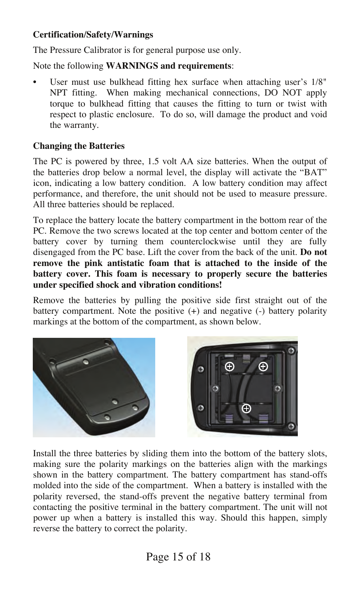#### **Certification/Safety/Warnings**

The Pressure Calibrator is for general purpose use only.

Note the following **WARNINGS and requirements**:

User must use bulkhead fitting hex surface when attaching user's  $1/8$ " NPT fitting. When making mechanical connections, DO NOT apply torque to bulkhead fitting that causes the fitting to turn or twist with respect to plastic enclosure. To do so, will damage the product and void the warranty.

#### **Changing the Batteries**

The PC is powered by three, 1.5 volt AA size batteries. When the output of the batteries drop below a normal level, the display will activate the "BAT" icon, indicating a low battery condition. A low battery condition may affect performance, and therefore, the unit should not be used to measure pressure. All three batteries should be replaced.

To replace the battery locate the battery compartment in the bottom rear of the PC. Remove the two screws located at the top center and bottom center of the battery cover by turning them counterclockwise until they are fully disengaged from the PC base. Lift the cover from the back of the unit. **Do not remove the pink antistatic foam that is attached to the inside of the battery cover. This foam is necessary to properly secure the batteries under specified shock and vibration conditions!**

Remove the batteries by pulling the positive side first straight out of the battery compartment. Note the positive (+) and negative (-) battery polarity markings at the bottom of the compartment, as shown below.



Install the three batteries by sliding them into the bottom of the battery slots, making sure the polarity markings on the batteries align with the markings shown in the battery compartment. The battery compartment has stand-offs molded into the side of the compartment. When a battery is installed with the polarity reversed, the stand-offs prevent the negative battery terminal from contacting the positive terminal in the battery compartment. The unit will not power up when a battery is installed this way. Should this happen, simply reverse the battery to correct the polarity.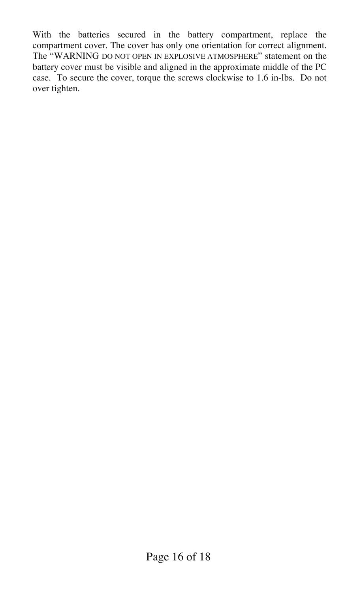With the batteries secured in the battery compartment, replace the compartment cover. The cover has only one orientation for correct alignment. The "WARNING DO NOT OPEN IN EXPLOSIVE ATMOSPHERE" statement on the battery cover must be visible and aligned in the approximate middle of the PC case. To secure the cover, torque the screws clockwise to 1.6 in-lbs. Do not over tighten.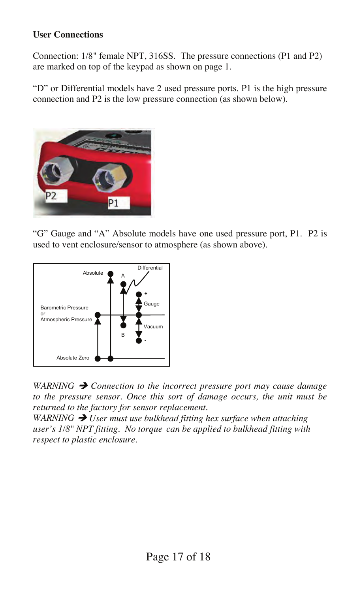#### **User Connections**

Connection: 1/8" female NPT, 316SS. The pressure connections (P1 and P2) are marked on top of the keypad as shown on page 1.

"D" or Differential models have 2 used pressure ports. P1 is the high pressure connection and P2 is the low pressure connection (as shown below).



"G" Gauge and "A" Absolute models have one used pressure port, P1. P2 is used to vent enclosure/sensor to atmosphere (as shown above).



*WARNING*  $\rightarrow$  *Connection to the incorrect pressure port may cause damage to the pressure sensor. Once this sort of damage occurs, the unit must be returned to the factory for sensor replacement*.

 $WARNING \rightarrow U$ ser must use bulkhead fitting hex surface when attaching *user's 1/8" NPT fitting. No torque can be applied to bulkhead fitting with respect to plastic enclosure.*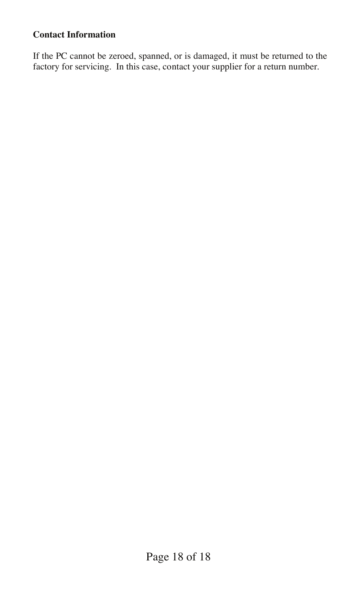#### **Contact Information**

If the PC cannot be zeroed, spanned, or is damaged, it must be returned to the factory for servicing. In this case, contact your supplier for a return number.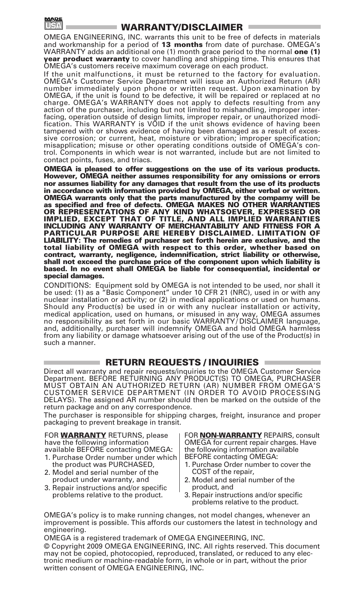

#### **WARRANTY/DISCLAIMER**

OMEGA ENGINEERING, INC. warrants this unit to be free of defects in materials and workmanship for a period of **13 months** from date of purchase. OMEGA's WARRANTY adds an additional one (1) month grace period to the normal **one (1) year product warranty** to cover handling and shipping time. This ensures that OMEGA's customers receive maximum coverage on each product.

If the unit malfunctions, it must be returned to the factory for evaluation. OMEGA's Customer Service Department will issue an Authorized Return (AR) number immediately upon phone or written request. Upon examination by OMEGA, if the unit is found to be defective, it will be repaired or replaced at no charge. OMEGA's WARRANTY does not apply to defects resulting from any action of the purchaser, including but not limited to mishandling, improper interfacing, operation outside of design limits, improper repair, or unauthorized modification. This WARRANTY is VOID if the unit shows evidence of having been tampered with or shows evidence of having been damaged as a result of excessive corrosion; or current, heat, moisture or vibration; improper specification; misapplication; misuse or other operating conditions outside of OMEGA's control. Components in which wear is not warranted, include but are not limited to contact points, fuses, and triacs.

**OMEGA is pleased to offer suggestions on the use of its various products. However, OMEGA neither assumes responsibility for any omissions or errors nor assumes liability for any damages that result from the use of its products in accordance with information provided by OMEGA, either verbal or written. OMEGA warrants only that the parts manufactured by the compamy will be as specified and free of defects. OMEGA MAKES NO OTHER WARRANTIES OR REPRESENTATIONS OF ANY KIND WHATSOEVER, EXPRESSED OR IMPLIED, EXCEPT THAT OF TITLE, AND ALL IMPLIED WARRANTIES INCLUDING ANY WARRANTY OF MERCHANTABILITY AND FITNESS FOR A PARTICULAR PURPOSE ARE HEREBY DISCLAIMED. LIMITATION OF LIABILITY: The remedies of purchaser set forth herein are exclusive, and the total liability of OMEGA with respect to this order, whether based on contract, warranty, negligence, indemnification, strict liability or otherwise, shall not exceed the purchase price of the component upon which liability is based. In no event shall OMEGA be liable for consequential, incidental or special damages.**

CONDITIONS: Equipment sold by OMEGA is not intended to be used, nor shall it be used: (1) as a "Basic Component" under 10 CFR 21 (NRC), used in or with any nuclear installation or activity; or (2) in medical applications or used on humans. Should any Product(s) be used in or with any nuclear installation or activity, medical application, used on humans, or misused in any way, OMEGA assumes no responsibility as set forth in our basic WARRANTY / DISCLAIMER language, and, additionally, purchaser will indemnify OMEGA and hold OMEGA harmless from any liability or damage whatsoever arising out of the use of the Product(s) in such a manner.

#### **RETURN REQUESTS / INQUIRIES**

Direct all warranty and repair requests/inquiries to the OMEGA Customer Service Department. BEFORE RETURNING ANY PRODUCT(S) TO OMEGA, PURCHASER MUST OBTAIN AN AUTHORIZED RETURN (AR) NUMBER FROM OMEGA'S CUSTOMER SERVICE DEPARTMENT (IN ORDER TO AVOID PROCESSING DELAYS). The assigned AR number should then be marked on the outside of the return package and on any correspondence.

The purchaser is responsible for shipping charges, freight, insurance and proper packaging to prevent breakage in transit.

FOR **WARRANTY** RETURNS, please have the following information available BEFORE contacting OMEGA: 1. Purchase Order number under which

- the product was PURCHASED, 2. Model and serial number of the
- product under warranty, and 3. Repair instructions and/or specific
- problems relative to the product.

FOR **NON-WARRANTY** REPAIRS, consult OMEGA for current repair charges. Have the following information available BEFORE contacting OMEGA:

- 1. Purchase Order number to cover the COST of the repair,
- 2. Model and serial number of the product, and
- 3. Repair instructions and/or specific problems relative to the product.

OMEGA's policy is to make running changes, not model changes, whenever an improvement is possible. This affords our customers the latest in technology and engineering.

OMEGA is a registered trademark of OMEGA ENGINEERING, INC. © Copyright 2009 OMEGA ENGINEERING, INC. All rights reserved. This document may not be copied, photocopied, reproduced, translated, or reduced to any electronic medium or machine-readable form, in whole or in part, without the prior written consent of OMEGA ENGINEERING, INC.